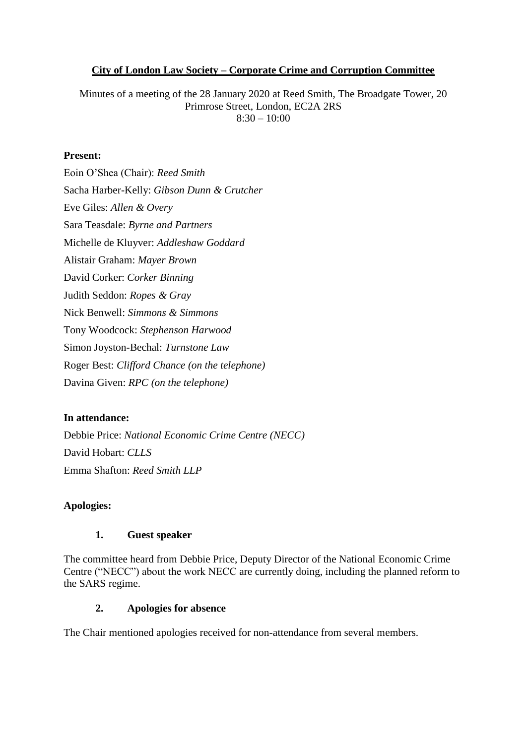#### **City of London Law Society – Corporate Crime and Corruption Committee**

Minutes of a meeting of the 28 January 2020 at Reed Smith, The Broadgate Tower, 20 Primrose Street, London, EC2A 2RS  $8:30 - 10:00$ 

#### **Present:**

Eoin O'Shea (Chair): *Reed Smith*  Sacha Harber-Kelly: *Gibson Dunn & Crutcher*  Eve Giles: *Allen & Overy* Sara Teasdale: *Byrne and Partners* Michelle de Kluyver: *Addleshaw Goddard* Alistair Graham: *Mayer Brown* David Corker: *Corker Binning* Judith Seddon: *Ropes & Gray* Nick Benwell: *Simmons & Simmons* Tony Woodcock: *Stephenson Harwood* Simon Joyston-Bechal: *Turnstone Law* Roger Best: *Clifford Chance (on the telephone)* Davina Given: *RPC (on the telephone)*

#### **In attendance:**

Debbie Price: *National Economic Crime Centre (NECC)* David Hobart: *CLLS* Emma Shafton: *Reed Smith LLP*

#### **Apologies:**

### **1. Guest speaker**

The committee heard from Debbie Price, Deputy Director of the National Economic Crime Centre ("NECC") about the work NECC are currently doing, including the planned reform to the SARS regime.

#### **2. Apologies for absence**

The Chair mentioned apologies received for non-attendance from several members.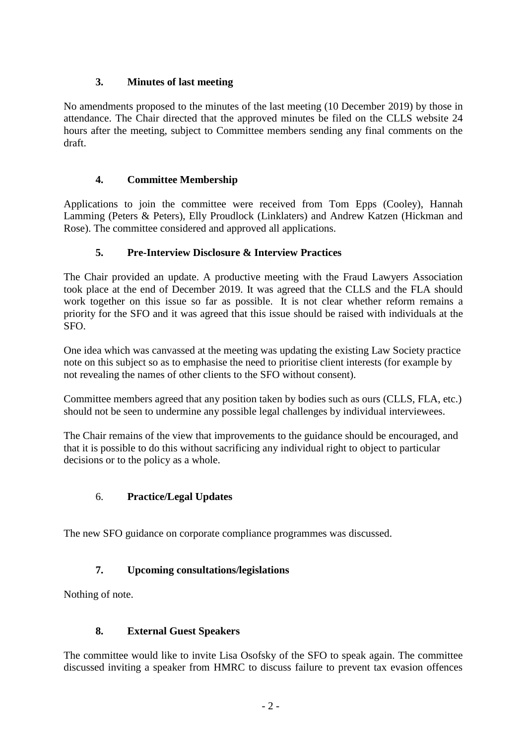### **3. Minutes of last meeting**

No amendments proposed to the minutes of the last meeting (10 December 2019) by those in attendance. The Chair directed that the approved minutes be filed on the CLLS website 24 hours after the meeting, subject to Committee members sending any final comments on the draft.

### **4. Committee Membership**

Applications to join the committee were received from Tom Epps (Cooley), Hannah Lamming (Peters & Peters), Elly Proudlock (Linklaters) and Andrew Katzen (Hickman and Rose). The committee considered and approved all applications.

## **5. Pre-Interview Disclosure & Interview Practices**

The Chair provided an update. A productive meeting with the Fraud Lawyers Association took place at the end of December 2019. It was agreed that the CLLS and the FLA should work together on this issue so far as possible. It is not clear whether reform remains a priority for the SFO and it was agreed that this issue should be raised with individuals at the SFO.

One idea which was canvassed at the meeting was updating the existing Law Society practice note on this subject so as to emphasise the need to prioritise client interests (for example by not revealing the names of other clients to the SFO without consent).

Committee members agreed that any position taken by bodies such as ours (CLLS, FLA, etc.) should not be seen to undermine any possible legal challenges by individual interviewees.

The Chair remains of the view that improvements to the guidance should be encouraged, and that it is possible to do this without sacrificing any individual right to object to particular decisions or to the policy as a whole.

### 6. **Practice/Legal Updates**

The new SFO guidance on corporate compliance programmes was discussed.

# **7. Upcoming consultations/legislations**

Nothing of note.

### **8. External Guest Speakers**

The committee would like to invite Lisa Osofsky of the SFO to speak again. The committee discussed inviting a speaker from HMRC to discuss failure to prevent tax evasion offences